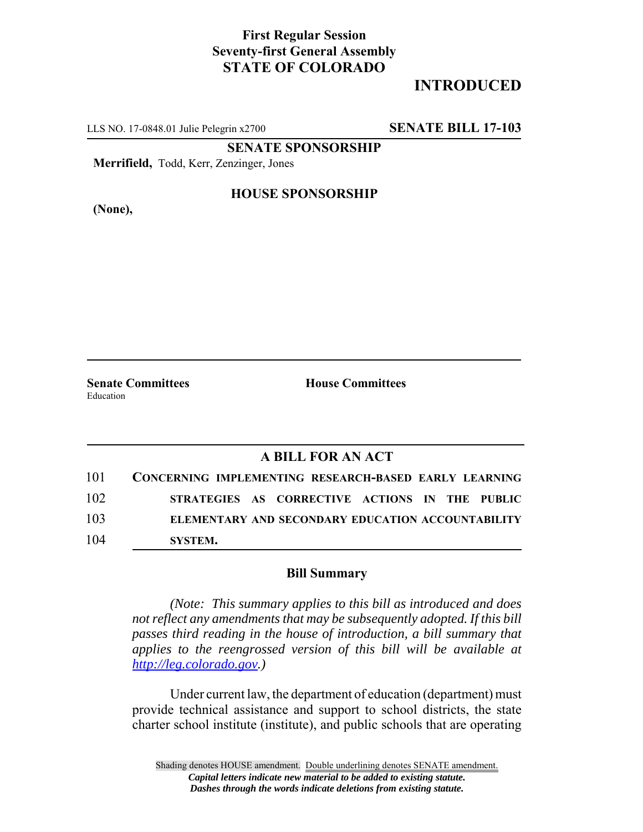## **First Regular Session Seventy-first General Assembly STATE OF COLORADO**

# **INTRODUCED**

LLS NO. 17-0848.01 Julie Pelegrin x2700 **SENATE BILL 17-103**

**SENATE SPONSORSHIP**

**Merrifield,** Todd, Kerr, Zenzinger, Jones

**(None),**

### **HOUSE SPONSORSHIP**

**Senate Committees House Committees** Education

### **A BILL FOR AN ACT**

| 101 | CONCERNING IMPLEMENTING RESEARCH-BASED EARLY LEARNING    |
|-----|----------------------------------------------------------|
| 102 | STRATEGIES AS CORRECTIVE ACTIONS IN THE PUBLIC           |
| 103 | <b>ELEMENTARY AND SECONDARY EDUCATION ACCOUNTABILITY</b> |
| 104 | SYSTEM.                                                  |

#### **Bill Summary**

*(Note: This summary applies to this bill as introduced and does not reflect any amendments that may be subsequently adopted. If this bill passes third reading in the house of introduction, a bill summary that applies to the reengrossed version of this bill will be available at http://leg.colorado.gov.)*

Under current law, the department of education (department) must provide technical assistance and support to school districts, the state charter school institute (institute), and public schools that are operating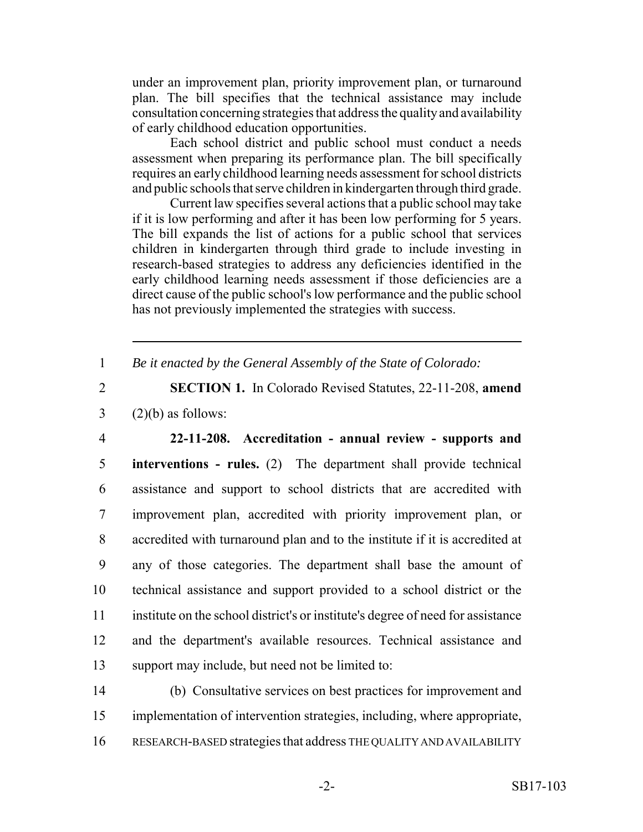under an improvement plan, priority improvement plan, or turnaround plan. The bill specifies that the technical assistance may include consultation concerning strategies that address the quality and availability of early childhood education opportunities.

Each school district and public school must conduct a needs assessment when preparing its performance plan. The bill specifically requires an early childhood learning needs assessment for school districts and public schools that serve children in kindergarten through third grade.

Current law specifies several actions that a public school may take if it is low performing and after it has been low performing for 5 years. The bill expands the list of actions for a public school that services children in kindergarten through third grade to include investing in research-based strategies to address any deficiencies identified in the early childhood learning needs assessment if those deficiencies are a direct cause of the public school's low performance and the public school has not previously implemented the strategies with success.

1 *Be it enacted by the General Assembly of the State of Colorado:*

2 **SECTION 1.** In Colorado Revised Statutes, 22-11-208, **amend**  $3$  (2)(b) as follows:

 **22-11-208. Accreditation - annual review - supports and interventions - rules.** (2) The department shall provide technical assistance and support to school districts that are accredited with improvement plan, accredited with priority improvement plan, or accredited with turnaround plan and to the institute if it is accredited at any of those categories. The department shall base the amount of technical assistance and support provided to a school district or the institute on the school district's or institute's degree of need for assistance and the department's available resources. Technical assistance and support may include, but need not be limited to:

14 (b) Consultative services on best practices for improvement and 15 implementation of intervention strategies, including, where appropriate, 16 RESEARCH-BASED strategies that address THE QUALITY AND AVAILABILITY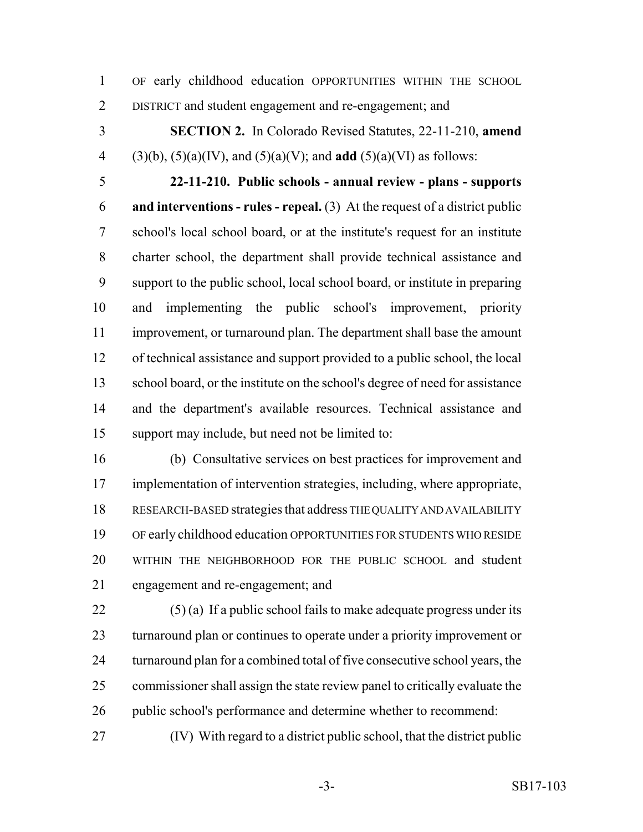OF early childhood education OPPORTUNITIES WITHIN THE SCHOOL DISTRICT and student engagement and re-engagement; and

 **SECTION 2.** In Colorado Revised Statutes, 22-11-210, **amend** (3)(b), (5)(a)(IV), and (5)(a)(V); and **add** (5)(a)(VI) as follows:

 **22-11-210. Public schools - annual review - plans - supports and interventions - rules - repeal.** (3) At the request of a district public school's local school board, or at the institute's request for an institute charter school, the department shall provide technical assistance and support to the public school, local school board, or institute in preparing and implementing the public school's improvement, priority improvement, or turnaround plan. The department shall base the amount of technical assistance and support provided to a public school, the local school board, or the institute on the school's degree of need for assistance and the department's available resources. Technical assistance and support may include, but need not be limited to:

 (b) Consultative services on best practices for improvement and implementation of intervention strategies, including, where appropriate, RESEARCH-BASED strategies that address THE QUALITY AND AVAILABILITY OF early childhood education OPPORTUNITIES FOR STUDENTS WHO RESIDE WITHIN THE NEIGHBORHOOD FOR THE PUBLIC SCHOOL and student engagement and re-engagement; and

 (5) (a) If a public school fails to make adequate progress under its turnaround plan or continues to operate under a priority improvement or turnaround plan for a combined total of five consecutive school years, the commissioner shall assign the state review panel to critically evaluate the public school's performance and determine whether to recommend:

(IV) With regard to a district public school, that the district public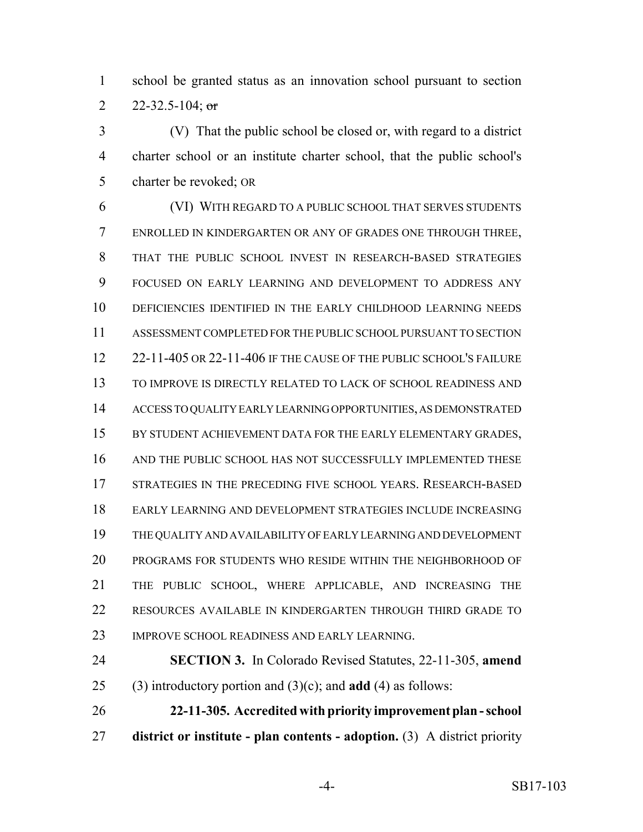school be granted status as an innovation school pursuant to section 2 22-32.5-104; or

 (V) That the public school be closed or, with regard to a district charter school or an institute charter school, that the public school's charter be revoked; OR

 (VI) WITH REGARD TO A PUBLIC SCHOOL THAT SERVES STUDENTS ENROLLED IN KINDERGARTEN OR ANY OF GRADES ONE THROUGH THREE, THAT THE PUBLIC SCHOOL INVEST IN RESEARCH-BASED STRATEGIES FOCUSED ON EARLY LEARNING AND DEVELOPMENT TO ADDRESS ANY DEFICIENCIES IDENTIFIED IN THE EARLY CHILDHOOD LEARNING NEEDS ASSESSMENT COMPLETED FOR THE PUBLIC SCHOOL PURSUANT TO SECTION 22-11-405 OR 22-11-406 IF THE CAUSE OF THE PUBLIC SCHOOL'S FAILURE TO IMPROVE IS DIRECTLY RELATED TO LACK OF SCHOOL READINESS AND ACCESS TO QUALITY EARLY LEARNING OPPORTUNITIES, AS DEMONSTRATED 15 BY STUDENT ACHIEVEMENT DATA FOR THE EARLY ELEMENTARY GRADES, AND THE PUBLIC SCHOOL HAS NOT SUCCESSFULLY IMPLEMENTED THESE 17 STRATEGIES IN THE PRECEDING FIVE SCHOOL YEARS. RESEARCH-BASED EARLY LEARNING AND DEVELOPMENT STRATEGIES INCLUDE INCREASING THE QUALITY AND AVAILABILITY OF EARLY LEARNING AND DEVELOPMENT PROGRAMS FOR STUDENTS WHO RESIDE WITHIN THE NEIGHBORHOOD OF THE PUBLIC SCHOOL, WHERE APPLICABLE, AND INCREASING THE RESOURCES AVAILABLE IN KINDERGARTEN THROUGH THIRD GRADE TO IMPROVE SCHOOL READINESS AND EARLY LEARNING.

 **SECTION 3.** In Colorado Revised Statutes, 22-11-305, **amend** (3) introductory portion and (3)(c); and **add** (4) as follows:

 **22-11-305. Accredited with priority improvement plan - school district or institute - plan contents - adoption.** (3) A district priority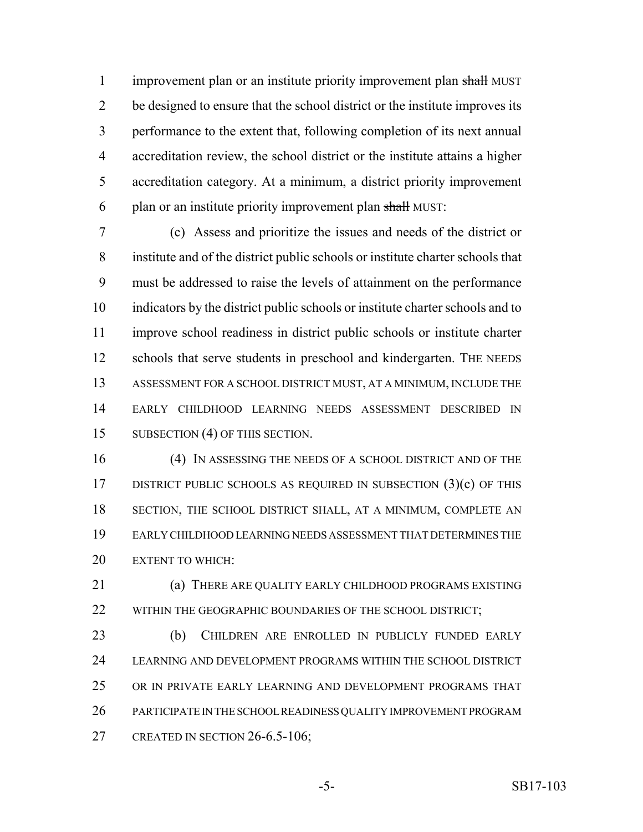1 improvement plan or an institute priority improvement plan shall MUST be designed to ensure that the school district or the institute improves its performance to the extent that, following completion of its next annual accreditation review, the school district or the institute attains a higher accreditation category. At a minimum, a district priority improvement 6 plan or an institute priority improvement plan shall MUST:

 (c) Assess and prioritize the issues and needs of the district or institute and of the district public schools or institute charter schools that must be addressed to raise the levels of attainment on the performance indicators by the district public schools or institute charter schools and to improve school readiness in district public schools or institute charter 12 schools that serve students in preschool and kindergarten. THE NEEDS ASSESSMENT FOR A SCHOOL DISTRICT MUST, AT A MINIMUM, INCLUDE THE EARLY CHILDHOOD LEARNING NEEDS ASSESSMENT DESCRIBED IN 15 SUBSECTION (4) OF THIS SECTION.

 (4) IN ASSESSING THE NEEDS OF A SCHOOL DISTRICT AND OF THE 17 DISTRICT PUBLIC SCHOOLS AS REQUIRED IN SUBSECTION (3)(c) OF THIS SECTION, THE SCHOOL DISTRICT SHALL, AT A MINIMUM, COMPLETE AN EARLY CHILDHOOD LEARNING NEEDS ASSESSMENT THAT DETERMINES THE EXTENT TO WHICH:

 (a) THERE ARE QUALITY EARLY CHILDHOOD PROGRAMS EXISTING 22 WITHIN THE GEOGRAPHIC BOUNDARIES OF THE SCHOOL DISTRICT;

 (b) CHILDREN ARE ENROLLED IN PUBLICLY FUNDED EARLY LEARNING AND DEVELOPMENT PROGRAMS WITHIN THE SCHOOL DISTRICT OR IN PRIVATE EARLY LEARNING AND DEVELOPMENT PROGRAMS THAT PARTICIPATE IN THE SCHOOL READINESS QUALITY IMPROVEMENT PROGRAM 27 CREATED IN SECTION 26-6.5-106;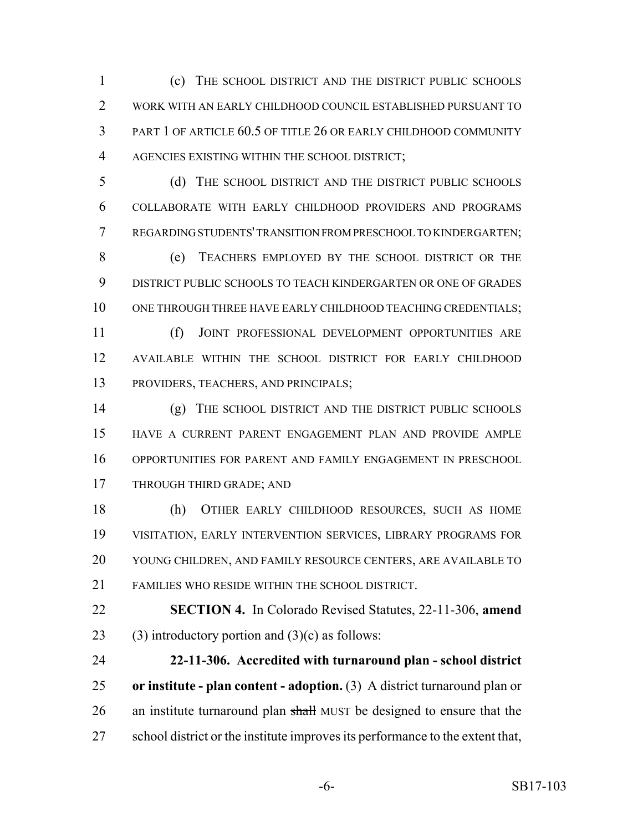(c) THE SCHOOL DISTRICT AND THE DISTRICT PUBLIC SCHOOLS WORK WITH AN EARLY CHILDHOOD COUNCIL ESTABLISHED PURSUANT TO PART 1 OF ARTICLE 60.5 OF TITLE 26 OR EARLY CHILDHOOD COMMUNITY AGENCIES EXISTING WITHIN THE SCHOOL DISTRICT;

 (d) THE SCHOOL DISTRICT AND THE DISTRICT PUBLIC SCHOOLS COLLABORATE WITH EARLY CHILDHOOD PROVIDERS AND PROGRAMS REGARDING STUDENTS' TRANSITION FROM PRESCHOOL TO KINDERGARTEN;

 (e) TEACHERS EMPLOYED BY THE SCHOOL DISTRICT OR THE DISTRICT PUBLIC SCHOOLS TO TEACH KINDERGARTEN OR ONE OF GRADES 10 ONE THROUGH THREE HAVE EARLY CHILDHOOD TEACHING CREDENTIALS;

 (f) JOINT PROFESSIONAL DEVELOPMENT OPPORTUNITIES ARE AVAILABLE WITHIN THE SCHOOL DISTRICT FOR EARLY CHILDHOOD PROVIDERS, TEACHERS, AND PRINCIPALS;

 (g) THE SCHOOL DISTRICT AND THE DISTRICT PUBLIC SCHOOLS HAVE A CURRENT PARENT ENGAGEMENT PLAN AND PROVIDE AMPLE OPPORTUNITIES FOR PARENT AND FAMILY ENGAGEMENT IN PRESCHOOL THROUGH THIRD GRADE; AND

 (h) OTHER EARLY CHILDHOOD RESOURCES, SUCH AS HOME VISITATION, EARLY INTERVENTION SERVICES, LIBRARY PROGRAMS FOR YOUNG CHILDREN, AND FAMILY RESOURCE CENTERS, ARE AVAILABLE TO FAMILIES WHO RESIDE WITHIN THE SCHOOL DISTRICT.

 **SECTION 4.** In Colorado Revised Statutes, 22-11-306, **amend** 23 (3) introductory portion and  $(3)(c)$  as follows:

 **22-11-306. Accredited with turnaround plan - school district or institute - plan content - adoption.** (3) A district turnaround plan or 26 an institute turnaround plan shall MUST be designed to ensure that the school district or the institute improves its performance to the extent that,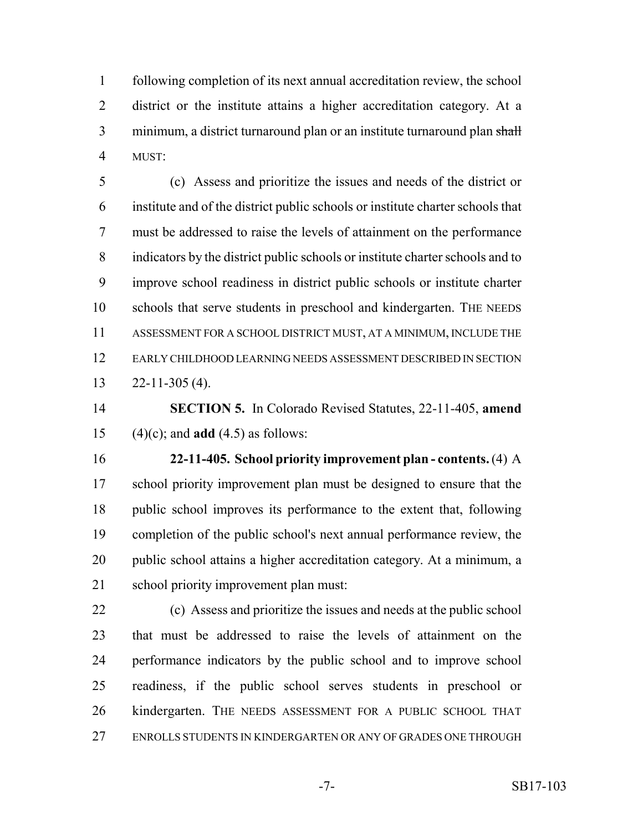following completion of its next annual accreditation review, the school district or the institute attains a higher accreditation category. At a 3 minimum, a district turnaround plan or an institute turnaround plan shall MUST:

 (c) Assess and prioritize the issues and needs of the district or institute and of the district public schools or institute charter schools that must be addressed to raise the levels of attainment on the performance indicators by the district public schools or institute charter schools and to improve school readiness in district public schools or institute charter schools that serve students in preschool and kindergarten. THE NEEDS ASSESSMENT FOR A SCHOOL DISTRICT MUST, AT A MINIMUM, INCLUDE THE EARLY CHILDHOOD LEARNING NEEDS ASSESSMENT DESCRIBED IN SECTION 22-11-305 (4).

 **SECTION 5.** In Colorado Revised Statutes, 22-11-405, **amend** (4)(c); and **add** (4.5) as follows:

 **22-11-405. School priority improvement plan - contents.** (4) A school priority improvement plan must be designed to ensure that the public school improves its performance to the extent that, following completion of the public school's next annual performance review, the public school attains a higher accreditation category. At a minimum, a school priority improvement plan must:

 (c) Assess and prioritize the issues and needs at the public school that must be addressed to raise the levels of attainment on the performance indicators by the public school and to improve school readiness, if the public school serves students in preschool or kindergarten. THE NEEDS ASSESSMENT FOR A PUBLIC SCHOOL THAT ENROLLS STUDENTS IN KINDERGARTEN OR ANY OF GRADES ONE THROUGH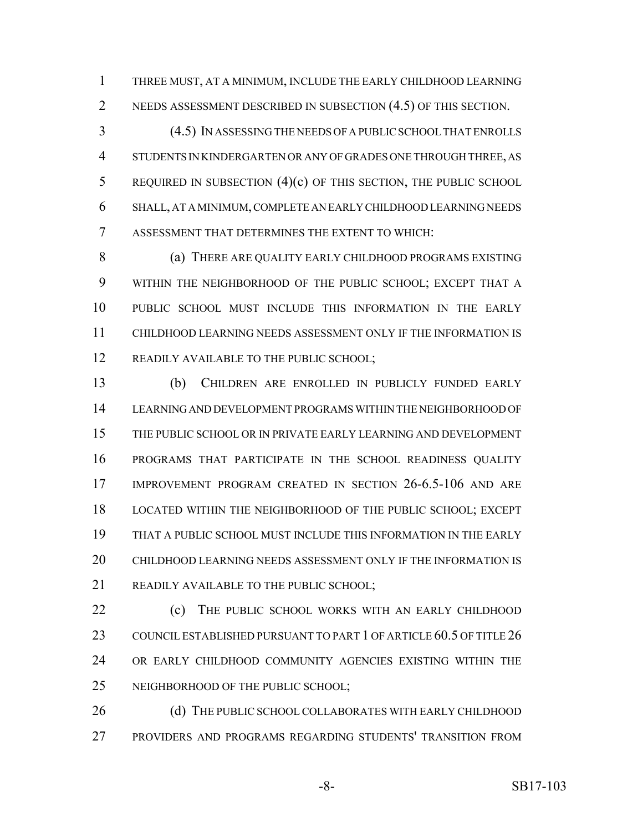THREE MUST, AT A MINIMUM, INCLUDE THE EARLY CHILDHOOD LEARNING NEEDS ASSESSMENT DESCRIBED IN SUBSECTION (4.5) OF THIS SECTION.

 (4.5) IN ASSESSING THE NEEDS OF A PUBLIC SCHOOL THAT ENROLLS STUDENTS IN KINDERGARTEN OR ANY OF GRADES ONE THROUGH THREE, AS REQUIRED IN SUBSECTION (4)(c) OF THIS SECTION, THE PUBLIC SCHOOL SHALL, AT A MINIMUM, COMPLETE AN EARLY CHILDHOOD LEARNING NEEDS ASSESSMENT THAT DETERMINES THE EXTENT TO WHICH:

8 (a) THERE ARE QUALITY EARLY CHILDHOOD PROGRAMS EXISTING WITHIN THE NEIGHBORHOOD OF THE PUBLIC SCHOOL; EXCEPT THAT A PUBLIC SCHOOL MUST INCLUDE THIS INFORMATION IN THE EARLY CHILDHOOD LEARNING NEEDS ASSESSMENT ONLY IF THE INFORMATION IS 12 READILY AVAILABLE TO THE PUBLIC SCHOOL;

 (b) CHILDREN ARE ENROLLED IN PUBLICLY FUNDED EARLY LEARNING AND DEVELOPMENT PROGRAMS WITHIN THE NEIGHBORHOOD OF THE PUBLIC SCHOOL OR IN PRIVATE EARLY LEARNING AND DEVELOPMENT PROGRAMS THAT PARTICIPATE IN THE SCHOOL READINESS QUALITY IMPROVEMENT PROGRAM CREATED IN SECTION 26-6.5-106 AND ARE LOCATED WITHIN THE NEIGHBORHOOD OF THE PUBLIC SCHOOL; EXCEPT THAT A PUBLIC SCHOOL MUST INCLUDE THIS INFORMATION IN THE EARLY CHILDHOOD LEARNING NEEDS ASSESSMENT ONLY IF THE INFORMATION IS 21 READILY AVAILABLE TO THE PUBLIC SCHOOL;

**(c)** THE PUBLIC SCHOOL WORKS WITH AN EARLY CHILDHOOD 23 COUNCIL ESTABLISHED PURSUANT TO PART 1 OF ARTICLE 60.5 OF TITLE 26 OR EARLY CHILDHOOD COMMUNITY AGENCIES EXISTING WITHIN THE NEIGHBORHOOD OF THE PUBLIC SCHOOL;

26 (d) THE PUBLIC SCHOOL COLLABORATES WITH EARLY CHILDHOOD PROVIDERS AND PROGRAMS REGARDING STUDENTS' TRANSITION FROM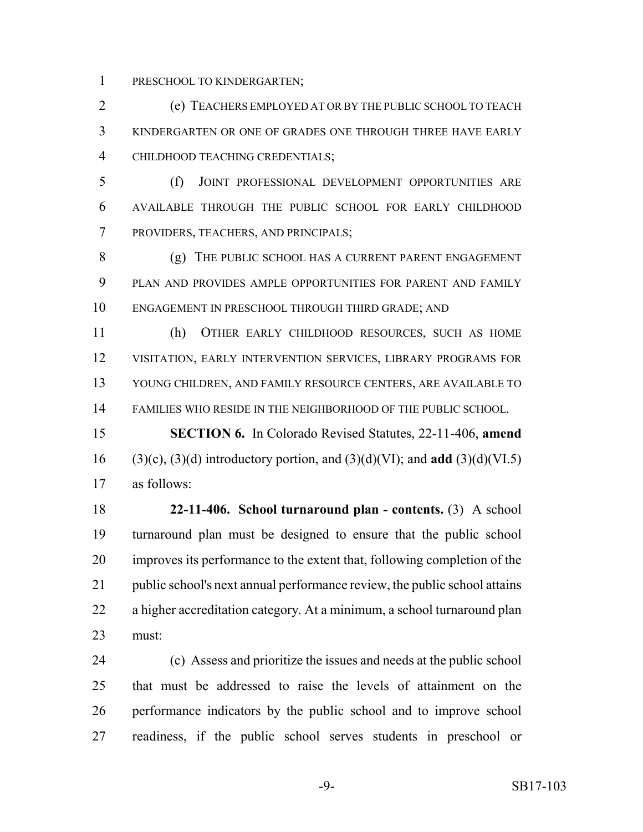PRESCHOOL TO KINDERGARTEN;

 (e) TEACHERS EMPLOYED AT OR BY THE PUBLIC SCHOOL TO TEACH KINDERGARTEN OR ONE OF GRADES ONE THROUGH THREE HAVE EARLY CHILDHOOD TEACHING CREDENTIALS;

 (f) JOINT PROFESSIONAL DEVELOPMENT OPPORTUNITIES ARE AVAILABLE THROUGH THE PUBLIC SCHOOL FOR EARLY CHILDHOOD PROVIDERS, TEACHERS, AND PRINCIPALS;

 (g) THE PUBLIC SCHOOL HAS A CURRENT PARENT ENGAGEMENT PLAN AND PROVIDES AMPLE OPPORTUNITIES FOR PARENT AND FAMILY ENGAGEMENT IN PRESCHOOL THROUGH THIRD GRADE; AND

 (h) OTHER EARLY CHILDHOOD RESOURCES, SUCH AS HOME VISITATION, EARLY INTERVENTION SERVICES, LIBRARY PROGRAMS FOR YOUNG CHILDREN, AND FAMILY RESOURCE CENTERS, ARE AVAILABLE TO FAMILIES WHO RESIDE IN THE NEIGHBORHOOD OF THE PUBLIC SCHOOL.

 **SECTION 6.** In Colorado Revised Statutes, 22-11-406, **amend** (3)(c), (3)(d) introductory portion, and (3)(d)(VI); and **add** (3)(d)(VI.5) as follows:

 **22-11-406. School turnaround plan - contents.** (3) A school turnaround plan must be designed to ensure that the public school improves its performance to the extent that, following completion of the public school's next annual performance review, the public school attains a higher accreditation category. At a minimum, a school turnaround plan must:

 (c) Assess and prioritize the issues and needs at the public school that must be addressed to raise the levels of attainment on the performance indicators by the public school and to improve school readiness, if the public school serves students in preschool or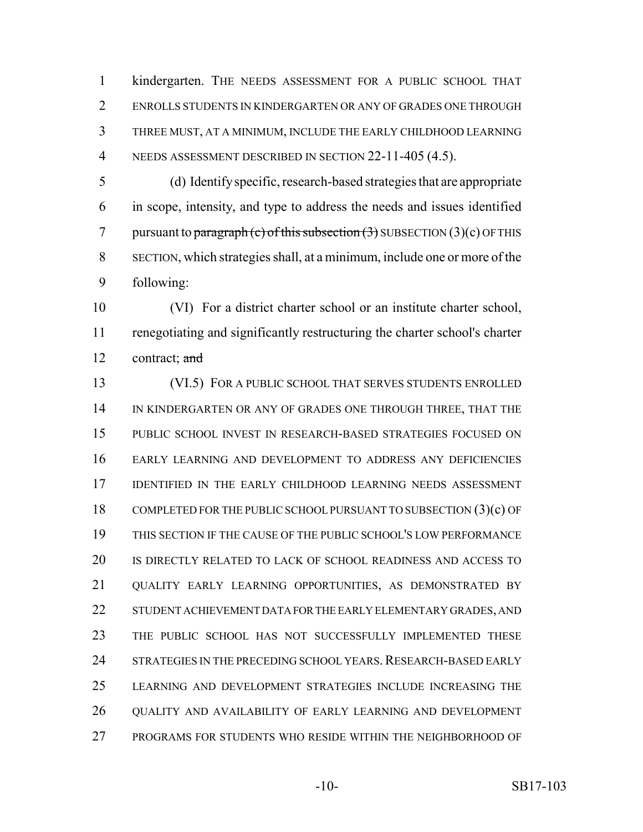kindergarten. THE NEEDS ASSESSMENT FOR A PUBLIC SCHOOL THAT ENROLLS STUDENTS IN KINDERGARTEN OR ANY OF GRADES ONE THROUGH THREE MUST, AT A MINIMUM, INCLUDE THE EARLY CHILDHOOD LEARNING 4 NEEDS ASSESSMENT DESCRIBED IN SECTION 22-11-405 (4.5).

 (d) Identify specific, research-based strategies that are appropriate in scope, intensity, and type to address the needs and issues identified 7 pursuant to paragraph (c) of this subsection  $(3)$  SUBSECTION  $(3)(c)$  OF THIS SECTION, which strategies shall, at a minimum, include one or more of the following:

 (VI) For a district charter school or an institute charter school, renegotiating and significantly restructuring the charter school's charter 12 contract; and

13 (VI.5) FOR A PUBLIC SCHOOL THAT SERVES STUDENTS ENROLLED 14 IN KINDERGARTEN OR ANY OF GRADES ONE THROUGH THREE, THAT THE PUBLIC SCHOOL INVEST IN RESEARCH-BASED STRATEGIES FOCUSED ON EARLY LEARNING AND DEVELOPMENT TO ADDRESS ANY DEFICIENCIES 17 IDENTIFIED IN THE EARLY CHILDHOOD LEARNING NEEDS ASSESSMENT COMPLETED FOR THE PUBLIC SCHOOL PURSUANT TO SUBSECTION (3)(c) OF THIS SECTION IF THE CAUSE OF THE PUBLIC SCHOOL'S LOW PERFORMANCE IS DIRECTLY RELATED TO LACK OF SCHOOL READINESS AND ACCESS TO QUALITY EARLY LEARNING OPPORTUNITIES, AS DEMONSTRATED BY STUDENT ACHIEVEMENT DATA FOR THE EARLY ELEMENTARY GRADES, AND THE PUBLIC SCHOOL HAS NOT SUCCESSFULLY IMPLEMENTED THESE 24 STRATEGIES IN THE PRECEDING SCHOOL YEARS. RESEARCH-BASED EARLY LEARNING AND DEVELOPMENT STRATEGIES INCLUDE INCREASING THE QUALITY AND AVAILABILITY OF EARLY LEARNING AND DEVELOPMENT PROGRAMS FOR STUDENTS WHO RESIDE WITHIN THE NEIGHBORHOOD OF